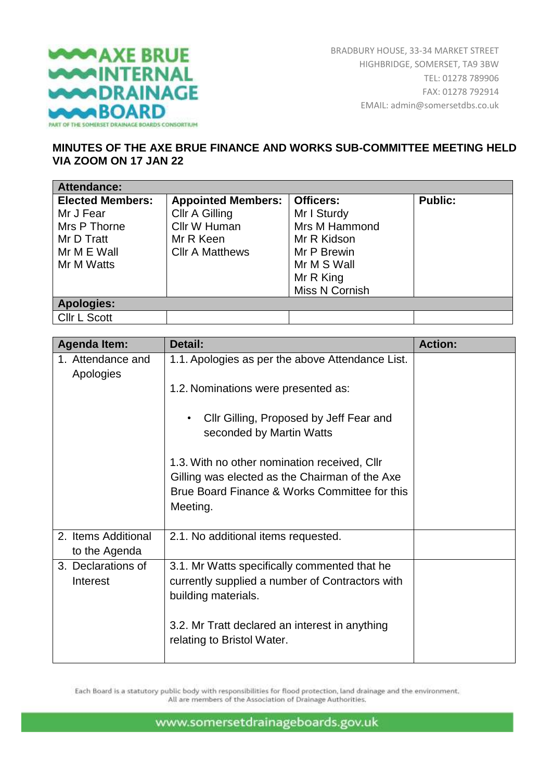

## **MINUTES OF THE AXE BRUE FINANCE AND WORKS SUB-COMMITTEE MEETING HELD VIA ZOOM ON 17 JAN 22**

| <b>Attendance:</b>      |                           |                  |                |
|-------------------------|---------------------------|------------------|----------------|
| <b>Elected Members:</b> | <b>Appointed Members:</b> | <b>Officers:</b> | <b>Public:</b> |
| Mr J Fear               | Cllr A Gilling            | Mr I Sturdy      |                |
| Mrs P Thorne            | Cllr W Human              | Mrs M Hammond    |                |
| Mr D Tratt              | Mr R Keen                 | Mr R Kidson      |                |
| Mr M E Wall             | <b>CIIr A Matthews</b>    | Mr P Brewin      |                |
| Mr M Watts              |                           | Mr M S Wall      |                |
|                         |                           | Mr R King        |                |
|                         |                           | Miss N Cornish   |                |
| <b>Apologies:</b>       |                           |                  |                |
| <b>CIIr L Scott</b>     |                           |                  |                |

| <b>Agenda Item:</b>                  | Detail:                                                                                                                | <b>Action:</b> |
|--------------------------------------|------------------------------------------------------------------------------------------------------------------------|----------------|
| 1. Attendance and<br>Apologies       | 1.1. Apologies as per the above Attendance List.                                                                       |                |
|                                      | 1.2. Nominations were presented as:                                                                                    |                |
|                                      | Cllr Gilling, Proposed by Jeff Fear and<br>seconded by Martin Watts                                                    |                |
|                                      | 1.3. With no other nomination received, Cllr<br>Gilling was elected as the Chairman of the Axe                         |                |
|                                      | Brue Board Finance & Works Committee for this<br>Meeting.                                                              |                |
| 2. Items Additional<br>to the Agenda | 2.1. No additional items requested.                                                                                    |                |
| 3. Declarations of<br>Interest       | 3.1. Mr Watts specifically commented that he<br>currently supplied a number of Contractors with<br>building materials. |                |
|                                      | 3.2. Mr Tratt declared an interest in anything<br>relating to Bristol Water.                                           |                |

Each Board is a statutory public body with responsibilities for flood protection, land drainage and the environment. All are members of the Association of Drainage Authorities.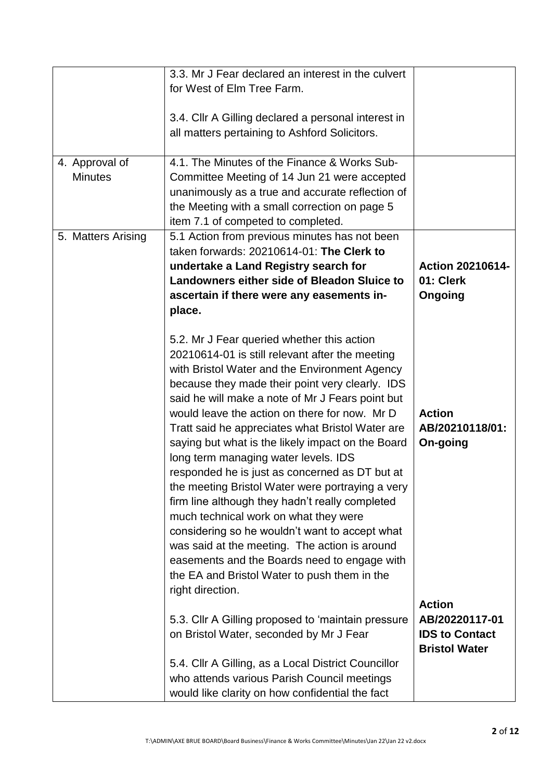|                                  | 3.3. Mr J Fear declared an interest in the culvert<br>for West of Elm Tree Farm.                                                                                                                                                                                                                                                                                                                                                                                                                                                                                                                                                                                                                                                                                                                                                                                                 |                                                                                  |
|----------------------------------|----------------------------------------------------------------------------------------------------------------------------------------------------------------------------------------------------------------------------------------------------------------------------------------------------------------------------------------------------------------------------------------------------------------------------------------------------------------------------------------------------------------------------------------------------------------------------------------------------------------------------------------------------------------------------------------------------------------------------------------------------------------------------------------------------------------------------------------------------------------------------------|----------------------------------------------------------------------------------|
|                                  | 3.4. Cllr A Gilling declared a personal interest in<br>all matters pertaining to Ashford Solicitors.                                                                                                                                                                                                                                                                                                                                                                                                                                                                                                                                                                                                                                                                                                                                                                             |                                                                                  |
| 4. Approval of<br><b>Minutes</b> | 4.1. The Minutes of the Finance & Works Sub-<br>Committee Meeting of 14 Jun 21 were accepted<br>unanimously as a true and accurate reflection of<br>the Meeting with a small correction on page 5<br>item 7.1 of competed to completed.                                                                                                                                                                                                                                                                                                                                                                                                                                                                                                                                                                                                                                          |                                                                                  |
| 5. Matters Arising               | 5.1 Action from previous minutes has not been<br>taken forwards: 20210614-01: The Clerk to<br>undertake a Land Registry search for<br>Landowners either side of Bleadon Sluice to<br>ascertain if there were any easements in-<br>place.                                                                                                                                                                                                                                                                                                                                                                                                                                                                                                                                                                                                                                         | <b>Action 20210614-</b><br>01: Clerk<br>Ongoing                                  |
|                                  | 5.2. Mr J Fear queried whether this action<br>20210614-01 is still relevant after the meeting<br>with Bristol Water and the Environment Agency<br>because they made their point very clearly. IDS<br>said he will make a note of Mr J Fears point but<br>would leave the action on there for now. Mr D<br>Tratt said he appreciates what Bristol Water are<br>saying but what is the likely impact on the Board<br>long term managing water levels. IDS<br>responded he is just as concerned as DT but at<br>the meeting Bristol Water were portraying a very<br>firm line although they hadn't really completed<br>much technical work on what they were<br>considering so he wouldn't want to accept what<br>was said at the meeting. The action is around<br>easements and the Boards need to engage with<br>the EA and Bristol Water to push them in the<br>right direction. | <b>Action</b><br>AB/20210118/01:<br>On-going                                     |
|                                  | 5.3. Cllr A Gilling proposed to 'maintain pressure<br>on Bristol Water, seconded by Mr J Fear                                                                                                                                                                                                                                                                                                                                                                                                                                                                                                                                                                                                                                                                                                                                                                                    | <b>Action</b><br>AB/20220117-01<br><b>IDS to Contact</b><br><b>Bristol Water</b> |
|                                  | 5.4. Cllr A Gilling, as a Local District Councillor<br>who attends various Parish Council meetings<br>would like clarity on how confidential the fact                                                                                                                                                                                                                                                                                                                                                                                                                                                                                                                                                                                                                                                                                                                            |                                                                                  |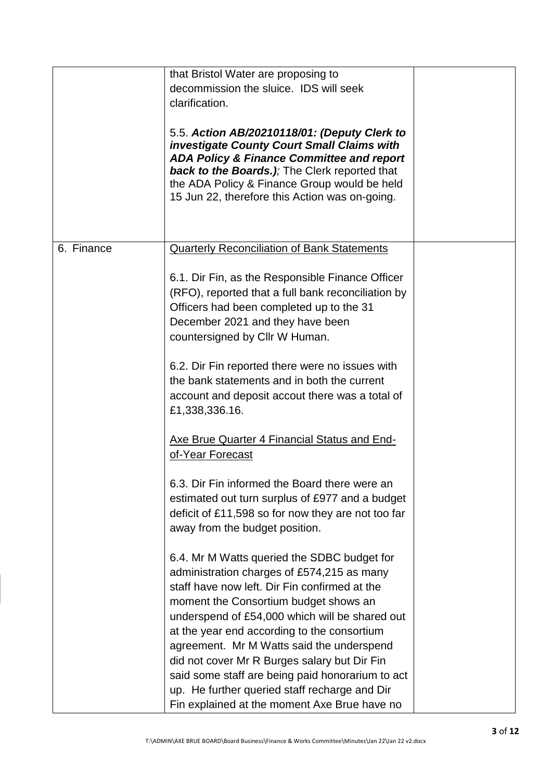|            | that Bristol Water are proposing to                                                                                                                                                                                                                                                                                                                                                                                                                                                    |  |
|------------|----------------------------------------------------------------------------------------------------------------------------------------------------------------------------------------------------------------------------------------------------------------------------------------------------------------------------------------------------------------------------------------------------------------------------------------------------------------------------------------|--|
|            | decommission the sluice. IDS will seek                                                                                                                                                                                                                                                                                                                                                                                                                                                 |  |
|            | clarification.                                                                                                                                                                                                                                                                                                                                                                                                                                                                         |  |
|            |                                                                                                                                                                                                                                                                                                                                                                                                                                                                                        |  |
|            | 5.5. Action AB/20210118/01: (Deputy Clerk to<br><b>investigate County Court Small Claims with</b><br><b>ADA Policy &amp; Finance Committee and report</b><br><b>back to the Boards.)</b> ; The Clerk reported that<br>the ADA Policy & Finance Group would be held<br>15 Jun 22, therefore this Action was on-going.                                                                                                                                                                   |  |
| 6. Finance | <b>Quarterly Reconciliation of Bank Statements</b>                                                                                                                                                                                                                                                                                                                                                                                                                                     |  |
|            | 6.1. Dir Fin, as the Responsible Finance Officer<br>(RFO), reported that a full bank reconciliation by<br>Officers had been completed up to the 31<br>December 2021 and they have been<br>countersigned by Cllr W Human.                                                                                                                                                                                                                                                               |  |
|            | 6.2. Dir Fin reported there were no issues with<br>the bank statements and in both the current<br>account and deposit accout there was a total of<br>£1,338,336.16.                                                                                                                                                                                                                                                                                                                    |  |
|            | Axe Brue Quarter 4 Financial Status and End-<br>of-Year Forecast                                                                                                                                                                                                                                                                                                                                                                                                                       |  |
|            | 6.3. Dir Fin informed the Board there were an<br>estimated out turn surplus of £977 and a budget<br>deficit of £11,598 so for now they are not too far<br>away from the budget position.                                                                                                                                                                                                                                                                                               |  |
|            | 6.4. Mr M Watts queried the SDBC budget for<br>administration charges of £574,215 as many<br>staff have now left. Dir Fin confirmed at the<br>moment the Consortium budget shows an<br>underspend of £54,000 which will be shared out<br>at the year end according to the consortium<br>agreement. Mr M Watts said the underspend<br>did not cover Mr R Burges salary but Dir Fin<br>said some staff are being paid honorarium to act<br>up. He further queried staff recharge and Dir |  |
|            | Fin explained at the moment Axe Brue have no                                                                                                                                                                                                                                                                                                                                                                                                                                           |  |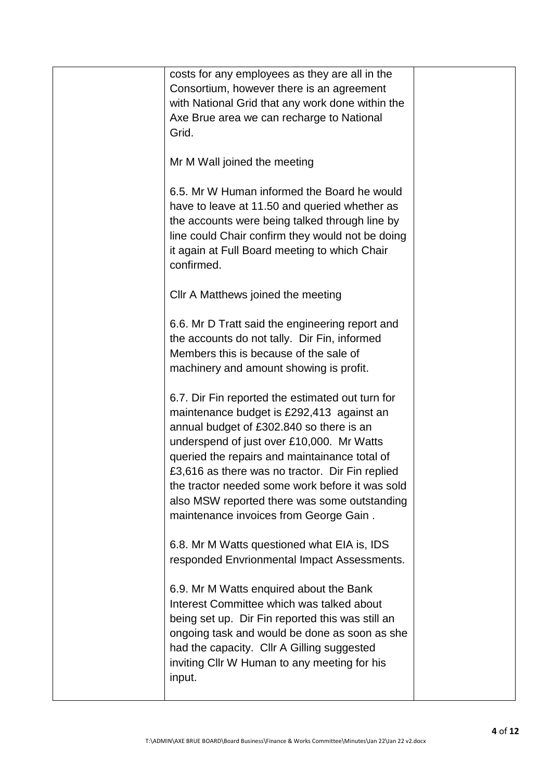| costs for any employees as they are all in the<br>Consortium, however there is an agreement<br>with National Grid that any work done within the<br>Axe Brue area we can recharge to National<br>Grid.<br>Mr M Wall joined the meeting<br>6.5. Mr W Human informed the Board he would<br>have to leave at 11.50 and queried whether as<br>the accounts were being talked through line by<br>line could Chair confirm they would not be doing<br>it again at Full Board meeting to which Chair<br>confirmed.<br>Cllr A Matthews joined the meeting<br>6.6. Mr D Tratt said the engineering report and<br>the accounts do not tally. Dir Fin, informed<br>Members this is because of the sale of<br>machinery and amount showing is profit.<br>6.7. Dir Fin reported the estimated out turn for<br>maintenance budget is £292,413 against an<br>annual budget of £302.840 so there is an<br>underspend of just over £10,000. Mr Watts<br>queried the repairs and maintainance total of<br>£3,616 as there was no tractor. Dir Fin replied<br>the tractor needed some work before it was sold<br>also MSW reported there was some outstanding<br>maintenance invoices from George Gain.<br>6.8. Mr M Watts questioned what EIA is, IDS<br>responded Envrionmental Impact Assessments.<br>6.9. Mr M Watts enquired about the Bank<br>Interest Committee which was talked about<br>being set up. Dir Fin reported this was still an<br>ongoing task and would be done as soon as she<br>had the capacity. Cllr A Gilling suggested<br>inviting Cllr W Human to any meeting for his<br>input. |  |  |
|----------------------------------------------------------------------------------------------------------------------------------------------------------------------------------------------------------------------------------------------------------------------------------------------------------------------------------------------------------------------------------------------------------------------------------------------------------------------------------------------------------------------------------------------------------------------------------------------------------------------------------------------------------------------------------------------------------------------------------------------------------------------------------------------------------------------------------------------------------------------------------------------------------------------------------------------------------------------------------------------------------------------------------------------------------------------------------------------------------------------------------------------------------------------------------------------------------------------------------------------------------------------------------------------------------------------------------------------------------------------------------------------------------------------------------------------------------------------------------------------------------------------------------------------------------------------------------------|--|--|
|                                                                                                                                                                                                                                                                                                                                                                                                                                                                                                                                                                                                                                                                                                                                                                                                                                                                                                                                                                                                                                                                                                                                                                                                                                                                                                                                                                                                                                                                                                                                                                                        |  |  |
|                                                                                                                                                                                                                                                                                                                                                                                                                                                                                                                                                                                                                                                                                                                                                                                                                                                                                                                                                                                                                                                                                                                                                                                                                                                                                                                                                                                                                                                                                                                                                                                        |  |  |
|                                                                                                                                                                                                                                                                                                                                                                                                                                                                                                                                                                                                                                                                                                                                                                                                                                                                                                                                                                                                                                                                                                                                                                                                                                                                                                                                                                                                                                                                                                                                                                                        |  |  |
|                                                                                                                                                                                                                                                                                                                                                                                                                                                                                                                                                                                                                                                                                                                                                                                                                                                                                                                                                                                                                                                                                                                                                                                                                                                                                                                                                                                                                                                                                                                                                                                        |  |  |
|                                                                                                                                                                                                                                                                                                                                                                                                                                                                                                                                                                                                                                                                                                                                                                                                                                                                                                                                                                                                                                                                                                                                                                                                                                                                                                                                                                                                                                                                                                                                                                                        |  |  |
|                                                                                                                                                                                                                                                                                                                                                                                                                                                                                                                                                                                                                                                                                                                                                                                                                                                                                                                                                                                                                                                                                                                                                                                                                                                                                                                                                                                                                                                                                                                                                                                        |  |  |
|                                                                                                                                                                                                                                                                                                                                                                                                                                                                                                                                                                                                                                                                                                                                                                                                                                                                                                                                                                                                                                                                                                                                                                                                                                                                                                                                                                                                                                                                                                                                                                                        |  |  |
|                                                                                                                                                                                                                                                                                                                                                                                                                                                                                                                                                                                                                                                                                                                                                                                                                                                                                                                                                                                                                                                                                                                                                                                                                                                                                                                                                                                                                                                                                                                                                                                        |  |  |
|                                                                                                                                                                                                                                                                                                                                                                                                                                                                                                                                                                                                                                                                                                                                                                                                                                                                                                                                                                                                                                                                                                                                                                                                                                                                                                                                                                                                                                                                                                                                                                                        |  |  |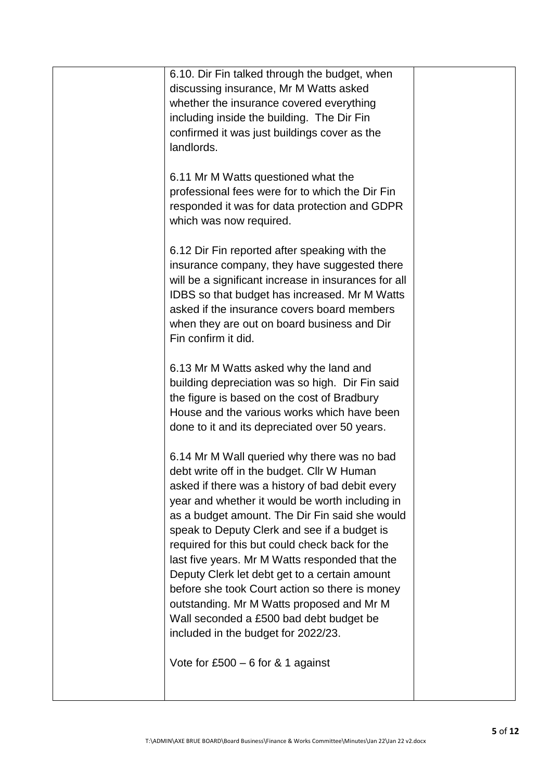| 6.10. Dir Fin talked through the budget, when<br>discussing insurance, Mr M Watts asked<br>whether the insurance covered everything<br>including inside the building. The Dir Fin<br>confirmed it was just buildings cover as the<br>landlords.                                                                                                                                                                                                                                                                                                                                                                                         |  |
|-----------------------------------------------------------------------------------------------------------------------------------------------------------------------------------------------------------------------------------------------------------------------------------------------------------------------------------------------------------------------------------------------------------------------------------------------------------------------------------------------------------------------------------------------------------------------------------------------------------------------------------------|--|
| 6.11 Mr M Watts questioned what the<br>professional fees were for to which the Dir Fin<br>responded it was for data protection and GDPR<br>which was now required.                                                                                                                                                                                                                                                                                                                                                                                                                                                                      |  |
| 6.12 Dir Fin reported after speaking with the<br>insurance company, they have suggested there<br>will be a significant increase in insurances for all<br>IDBS so that budget has increased. Mr M Watts<br>asked if the insurance covers board members<br>when they are out on board business and Dir<br>Fin confirm it did.                                                                                                                                                                                                                                                                                                             |  |
| 6.13 Mr M Watts asked why the land and<br>building depreciation was so high. Dir Fin said<br>the figure is based on the cost of Bradbury<br>House and the various works which have been<br>done to it and its depreciated over 50 years.                                                                                                                                                                                                                                                                                                                                                                                                |  |
| 6.14 Mr M Wall queried why there was no bad<br>debt write off in the budget. Cllr W Human<br>asked if there was a history of bad debit every<br>year and whether it would be worth including in<br>as a budget amount. The Dir Fin said she would<br>speak to Deputy Clerk and see if a budget is<br>required for this but could check back for the<br>last five years. Mr M Watts responded that the<br>Deputy Clerk let debt get to a certain amount<br>before she took Court action so there is money<br>outstanding. Mr M Watts proposed and Mr M<br>Wall seconded a £500 bad debt budget be<br>included in the budget for 2022/23. |  |
| Vote for £500 $-$ 6 for & 1 against                                                                                                                                                                                                                                                                                                                                                                                                                                                                                                                                                                                                     |  |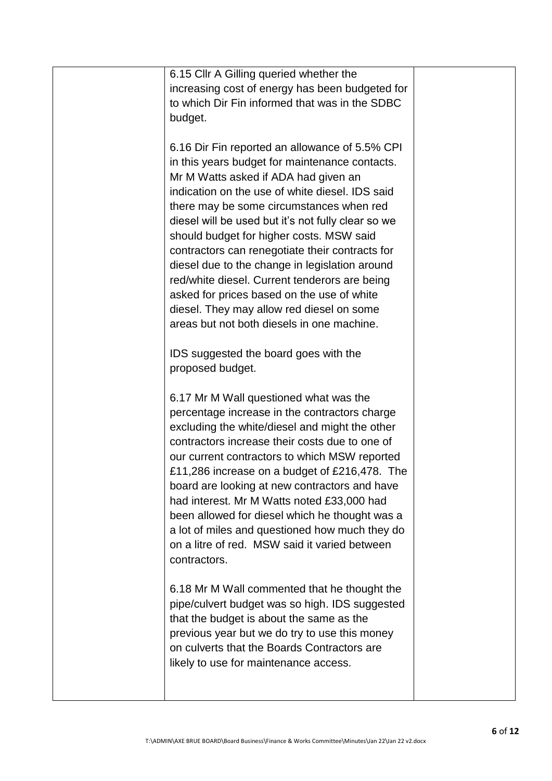| 6.15 Cllr A Gilling queried whether the<br>increasing cost of energy has been budgeted for<br>to which Dir Fin informed that was in the SDBC<br>budget.                                                                                                                                                                                                                                                                                                                                                                                                                                                                                  |  |
|------------------------------------------------------------------------------------------------------------------------------------------------------------------------------------------------------------------------------------------------------------------------------------------------------------------------------------------------------------------------------------------------------------------------------------------------------------------------------------------------------------------------------------------------------------------------------------------------------------------------------------------|--|
| 6.16 Dir Fin reported an allowance of 5.5% CPI<br>in this years budget for maintenance contacts.<br>Mr M Watts asked if ADA had given an<br>indication on the use of white diesel. IDS said<br>there may be some circumstances when red<br>diesel will be used but it's not fully clear so we<br>should budget for higher costs. MSW said<br>contractors can renegotiate their contracts for<br>diesel due to the change in legislation around<br>red/white diesel. Current tenderors are being<br>asked for prices based on the use of white<br>diesel. They may allow red diesel on some<br>areas but not both diesels in one machine. |  |
| IDS suggested the board goes with the<br>proposed budget.                                                                                                                                                                                                                                                                                                                                                                                                                                                                                                                                                                                |  |
| 6.17 Mr M Wall questioned what was the<br>percentage increase in the contractors charge<br>excluding the white/diesel and might the other<br>contractors increase their costs due to one of<br>our current contractors to which MSW reported<br>£11,286 increase on a budget of £216,478. The<br>board are looking at new contractors and have<br>had interest. Mr M Watts noted £33,000 had<br>been allowed for diesel which he thought was a<br>a lot of miles and questioned how much they do<br>on a litre of red. MSW said it varied between<br>contractors.                                                                        |  |
| 6.18 Mr M Wall commented that he thought the<br>pipe/culvert budget was so high. IDS suggested<br>that the budget is about the same as the<br>previous year but we do try to use this money<br>on culverts that the Boards Contractors are<br>likely to use for maintenance access.                                                                                                                                                                                                                                                                                                                                                      |  |
|                                                                                                                                                                                                                                                                                                                                                                                                                                                                                                                                                                                                                                          |  |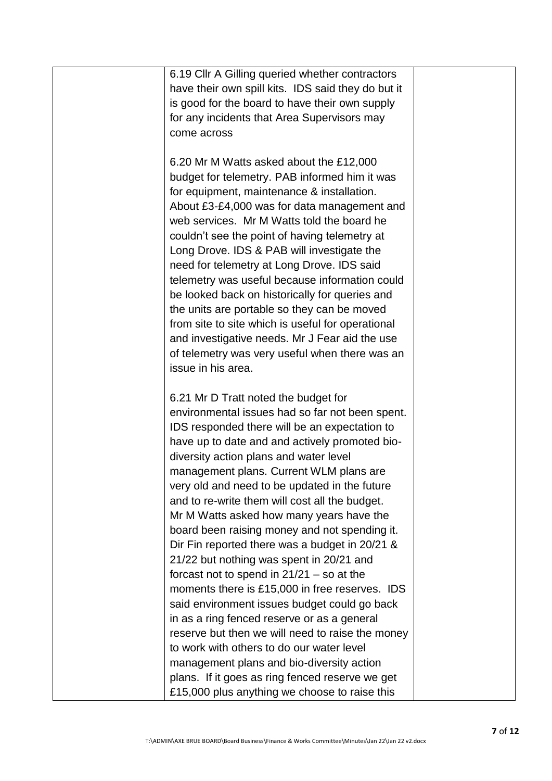| 6.19 Cllr A Gilling queried whether contractors    |  |
|----------------------------------------------------|--|
| have their own spill kits. IDS said they do but it |  |
| is good for the board to have their own supply     |  |
| for any incidents that Area Supervisors may        |  |
| come across                                        |  |
|                                                    |  |
| 6.20 Mr M Watts asked about the £12,000            |  |
| budget for telemetry. PAB informed him it was      |  |
| for equipment, maintenance & installation.         |  |
| About £3-£4,000 was for data management and        |  |
| web services. Mr M Watts told the board he         |  |
| couldn't see the point of having telemetry at      |  |
| Long Drove. IDS & PAB will investigate the         |  |
| need for telemetry at Long Drove. IDS said         |  |
| telemetry was useful because information could     |  |
| be looked back on historically for queries and     |  |
|                                                    |  |
| the units are portable so they can be moved        |  |
| from site to site which is useful for operational  |  |
| and investigative needs. Mr J Fear aid the use     |  |
| of telemetry was very useful when there was an     |  |
| issue in his area.                                 |  |
|                                                    |  |
| 6.21 Mr D Tratt noted the budget for               |  |
| environmental issues had so far not been spent.    |  |
| IDS responded there will be an expectation to      |  |
| have up to date and and actively promoted bio-     |  |
| diversity action plans and water level             |  |
| management plans. Current WLM plans are            |  |
| very old and need to be updated in the future      |  |
| and to re-write them will cost all the budget.     |  |
| Mr M Watts asked how many years have the           |  |
| board been raising money and not spending it.      |  |
| Dir Fin reported there was a budget in 20/21 &     |  |
| 21/22 but nothing was spent in 20/21 and           |  |
| forcast not to spend in $21/21 -$ so at the        |  |
| moments there is £15,000 in free reserves. IDS     |  |
| said environment issues budget could go back       |  |
| in as a ring fenced reserve or as a general        |  |
| reserve but then we will need to raise the money   |  |
| to work with others to do our water level          |  |
| management plans and bio-diversity action          |  |
| plans. If it goes as ring fenced reserve we get    |  |
| £15,000 plus anything we choose to raise this      |  |
|                                                    |  |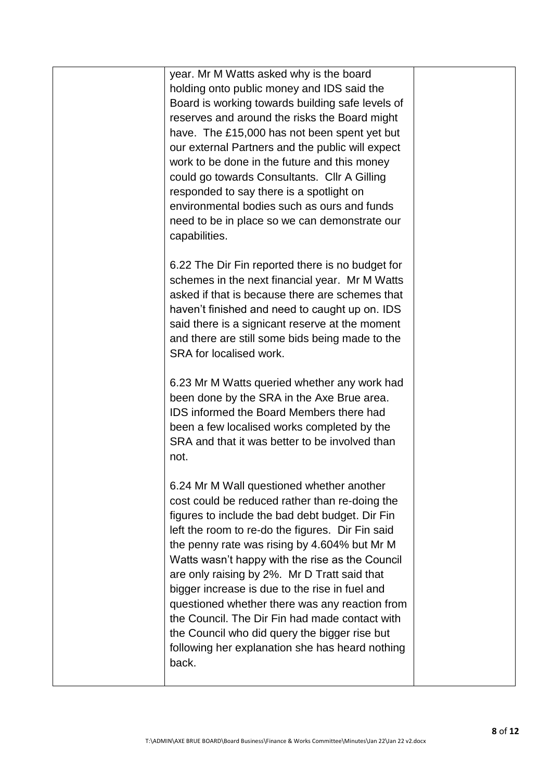year. Mr M Watts asked why is the board holding onto public money and IDS said the Board is working towards building safe levels of reserves and around the risks the Board might have. The £15,000 has not been spent yet but our external Partners and the public will expect work to be done in the future and this money could go towards Consultants. Cllr A Gilling responded to say there is a spotlight on environmental bodies such as ours and funds need to be in place so we can demonstrate our capabilities.

6.22 The Dir Fin reported there is no budget for schemes in the next financial year. Mr M Watts asked if that is because there are schemes that haven't finished and need to caught up on. IDS said there is a signicant reserve at the moment and there are still some bids being made to the SRA for localised work.

6.23 Mr M Watts queried whether any work had been done by the SRA in the Axe Brue area. IDS informed the Board Members there had been a few localised works completed by the SRA and that it was better to be involved than not.

6.24 Mr M Wall questioned whether another cost could be reduced rather than re-doing the figures to include the bad debt budget. Dir Fin left the room to re-do the figures. Dir Fin said the penny rate was rising by 4.604% but Mr M Watts wasn't happy with the rise as the Council are only raising by 2%. Mr D Tratt said that bigger increase is due to the rise in fuel and questioned whether there was any reaction from the Council. The Dir Fin had made contact with the Council who did query the bigger rise but following her explanation she has heard nothing back.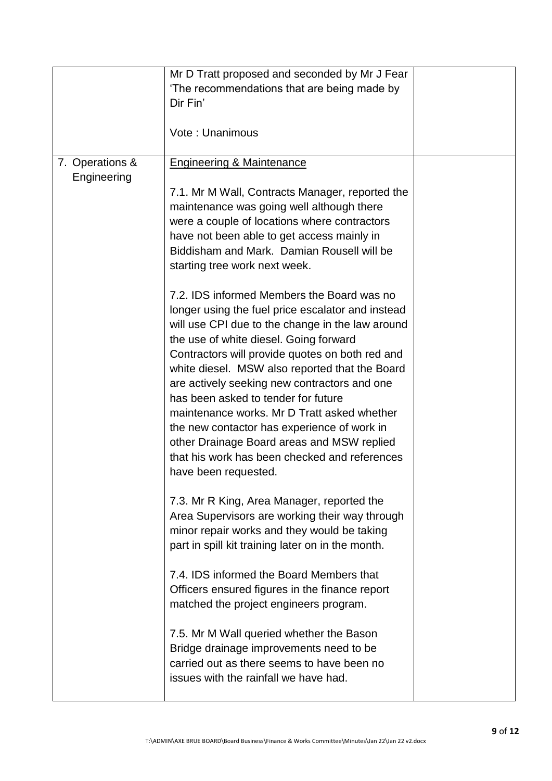|                 | Mr D Tratt proposed and seconded by Mr J Fear                                                         |  |
|-----------------|-------------------------------------------------------------------------------------------------------|--|
|                 | 'The recommendations that are being made by                                                           |  |
|                 | Dir Fin'                                                                                              |  |
|                 |                                                                                                       |  |
|                 | Vote: Unanimous                                                                                       |  |
|                 |                                                                                                       |  |
| 7. Operations & | <b>Engineering &amp; Maintenance</b>                                                                  |  |
| Engineering     |                                                                                                       |  |
|                 | 7.1. Mr M Wall, Contracts Manager, reported the                                                       |  |
|                 | maintenance was going well although there                                                             |  |
|                 | were a couple of locations where contractors                                                          |  |
|                 | have not been able to get access mainly in                                                            |  |
|                 | Biddisham and Mark. Damian Rousell will be                                                            |  |
|                 |                                                                                                       |  |
|                 | starting tree work next week.                                                                         |  |
|                 | 7.2. IDS informed Members the Board was no                                                            |  |
|                 |                                                                                                       |  |
|                 | longer using the fuel price escalator and instead<br>will use CPI due to the change in the law around |  |
|                 |                                                                                                       |  |
|                 | the use of white diesel. Going forward                                                                |  |
|                 | Contractors will provide quotes on both red and                                                       |  |
|                 | white diesel. MSW also reported that the Board                                                        |  |
|                 | are actively seeking new contractors and one                                                          |  |
|                 | has been asked to tender for future                                                                   |  |
|                 | maintenance works. Mr D Tratt asked whether                                                           |  |
|                 | the new contactor has experience of work in                                                           |  |
|                 | other Drainage Board areas and MSW replied                                                            |  |
|                 | that his work has been checked and references                                                         |  |
|                 | have been requested.                                                                                  |  |
|                 |                                                                                                       |  |
|                 | 7.3. Mr R King, Area Manager, reported the                                                            |  |
|                 | Area Supervisors are working their way through                                                        |  |
|                 | minor repair works and they would be taking                                                           |  |
|                 | part in spill kit training later on in the month.                                                     |  |
|                 |                                                                                                       |  |
|                 | 7.4. IDS informed the Board Members that                                                              |  |
|                 | Officers ensured figures in the finance report                                                        |  |
|                 | matched the project engineers program.                                                                |  |
|                 |                                                                                                       |  |
|                 | 7.5. Mr M Wall queried whether the Bason                                                              |  |
|                 | Bridge drainage improvements need to be                                                               |  |
|                 | carried out as there seems to have been no                                                            |  |
|                 | issues with the rainfall we have had.                                                                 |  |
|                 |                                                                                                       |  |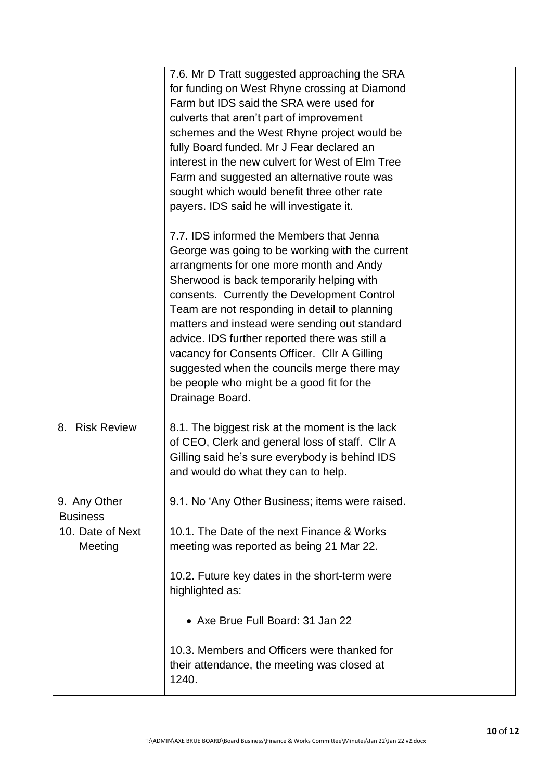|                                 | 7.6. Mr D Tratt suggested approaching the SRA<br>for funding on West Rhyne crossing at Diamond<br>Farm but IDS said the SRA were used for<br>culverts that aren't part of improvement<br>schemes and the West Rhyne project would be<br>fully Board funded. Mr J Fear declared an<br>interest in the new culvert for West of Elm Tree<br>Farm and suggested an alternative route was<br>sought which would benefit three other rate<br>payers. IDS said he will investigate it.                                                                       |  |
|---------------------------------|-------------------------------------------------------------------------------------------------------------------------------------------------------------------------------------------------------------------------------------------------------------------------------------------------------------------------------------------------------------------------------------------------------------------------------------------------------------------------------------------------------------------------------------------------------|--|
|                                 | 7.7. IDS informed the Members that Jenna<br>George was going to be working with the current<br>arrangments for one more month and Andy<br>Sherwood is back temporarily helping with<br>consents. Currently the Development Control<br>Team are not responding in detail to planning<br>matters and instead were sending out standard<br>advice. IDS further reported there was still a<br>vacancy for Consents Officer. Cllr A Gilling<br>suggested when the councils merge there may<br>be people who might be a good fit for the<br>Drainage Board. |  |
| 8. Risk Review                  | 8.1. The biggest risk at the moment is the lack<br>of CEO, Clerk and general loss of staff. Cllr A<br>Gilling said he's sure everybody is behind IDS<br>and would do what they can to help.                                                                                                                                                                                                                                                                                                                                                           |  |
| 9. Any Other<br><b>Business</b> | 9.1. No 'Any Other Business; items were raised.                                                                                                                                                                                                                                                                                                                                                                                                                                                                                                       |  |
| 10. Date of Next<br>Meeting     | 10.1. The Date of the next Finance & Works<br>meeting was reported as being 21 Mar 22.<br>10.2. Future key dates in the short-term were<br>highlighted as:                                                                                                                                                                                                                                                                                                                                                                                            |  |
|                                 | • Axe Brue Full Board: 31 Jan 22<br>10.3. Members and Officers were thanked for<br>their attendance, the meeting was closed at<br>1240.                                                                                                                                                                                                                                                                                                                                                                                                               |  |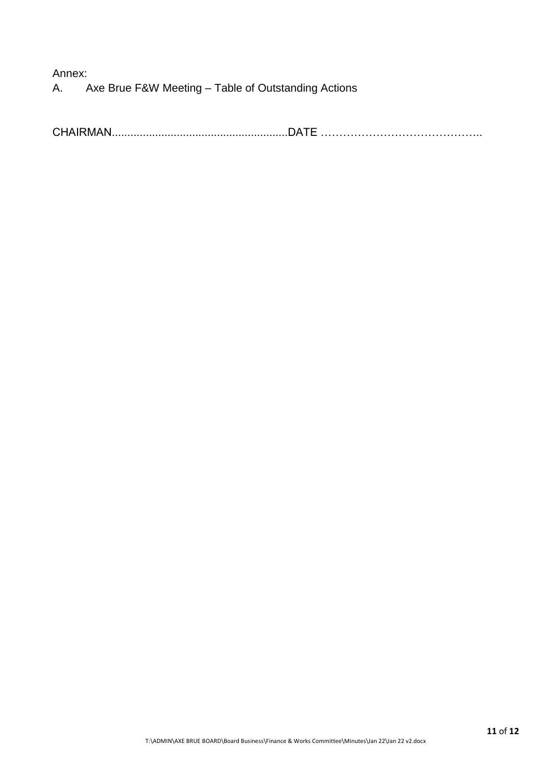Annex: A. Axe Brue F&W Meeting – Table of Outstanding Actions

CHAIRMAN.........................................................DATE ……………………………………..